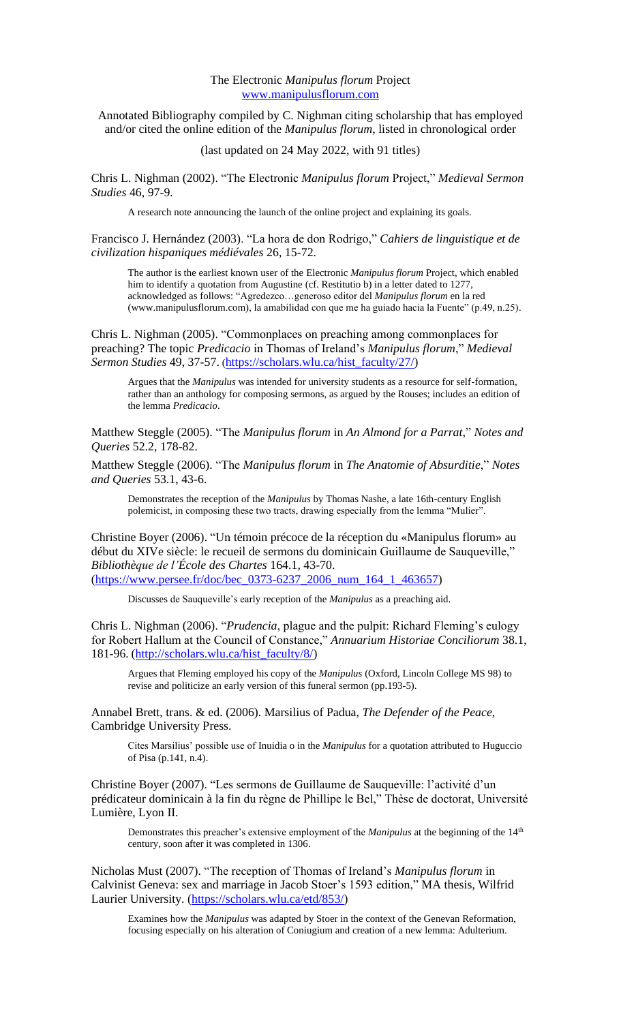## The Electronic *Manipulus florum* Project [www.manipulusflorum.com](http://www.manipulusflorum.com/)

Annotated Bibliography compiled by C. Nighman citing scholarship that has employed and/or cited the online edition of the *Manipulus florum*, listed in chronological order

(last updated on 24 May 2022, with 91 titles)

Chris L. Nighman (2002). "The Electronic *Manipulus florum* Project," *Medieval Sermon Studies* 46, 97-9.

A research note announcing the launch of the online project and explaining its goals.

Francisco J. Hernández (2003). "La hora de don Rodrigo," *Cahiers de linguistique et de civilization hispaniques médiévales* 26, 15-72.

The author is the earliest known user of the Electronic *Manipulus florum* Project, which enabled him to identify a quotation from Augustine (cf. Restitutio b) in a letter dated to 1277, acknowledged as follows: "Agredezco…generoso editor del *Manipulus florum* en la red (www.manipulusflorum.com), la amabilidad con que me ha guiado hacia la Fuente" (p.49, n.25).

Chris L. Nighman (2005). "Commonplaces on preaching among commonplaces for preaching? The topic *Predicacio* in Thomas of Ireland's *Manipulus florum*," *Medieval Sermon Studies* 49, 37-57. ([https://scholars.wlu.ca/hist\\_faculty/27/\)](https://scholars.wlu.ca/hist_faculty/27/)

Argues that the *Manipulus* was intended for university students as a resource for self-formation, rather than an anthology for composing sermons, as argued by the Rouses; includes an edition of the lemma *Predicacio*.

Matthew Steggle (2005). "The *Manipulus florum* in *An Almond for a Parrat*," *Notes and Queries* 52.2, 178-82.

Matthew Steggle (2006). "The *Manipulus florum* in *The Anatomie of Absurditie*," *Notes and Queries* 53.1, 43-6.

Demonstrates the reception of the *Manipulus* by Thomas Nashe, a late 16th-century English polemicist, in composing these two tracts, drawing especially from the lemma "Mulier".

Christine Boyer (2006). "Un témoin précoce de la réception du «Manipulus florum» au début du XIVe siècle: le recueil de sermons du dominicain Guillaume de Sauqueville," *Bibliothèque de l'École des Chartes* 164.1, 43-70. [\(https://www.persee.fr/doc/bec\\_0373-6237\\_2006\\_num\\_164\\_1\\_463657\)](https://www.persee.fr/doc/bec_0373-6237_2006_num_164_1_463657)

Discusses de Sauqueville's early reception of the *Manipulus* as a preaching aid.

Chris L. Nighman (2006). "*Prudencia*, plague and the pulpit: Richard Fleming's eulogy for Robert Hallum at the Council of Constance," *Annuarium Historiae Conciliorum* 38.1, 181-96. [\(http://scholars.wlu.ca/hist\\_faculty/8/\)](http://scholars.wlu.ca/hist_faculty/8/)

Argues that Fleming employed his copy of the *Manipulus* (Oxford, Lincoln College MS 98) to revise and politicize an early version of this funeral sermon (pp.193-5).

Annabel Brett, trans. & ed. (2006). Marsilius of Padua, *The Defender of the Peace*, Cambridge University Press.

Cites Marsilius' possible use of Inuidia o in the *Manipulus* for a quotation attributed to Huguccio of Pisa (p.141, n.4).

Christine Boyer (2007). "Les sermons de Guillaume de Sauqueville: l'activité d'un prédicateur dominicain à la fin du règne de Phillipe le Bel," Thèse de doctorat, Université Lumière, Lyon II.

Demonstrates this preacher's extensive employment of the *Manipulus* at the beginning of the 14<sup>th</sup> century, soon after it was completed in 1306.

Nicholas Must (2007). "The reception of Thomas of Ireland's *Manipulus florum* in Calvinist Geneva: sex and marriage in Jacob Stoer's 1593 edition," MA thesis, Wilfrid Laurier University. [\(https://scholars.wlu.ca/etd/853/\)](https://scholars.wlu.ca/etd/853/)

Examines how the *Manipulus* was adapted by Stoer in the context of the Genevan Reformation, focusing especially on his alteration of Coniugium and creation of a new lemma: Adulterium.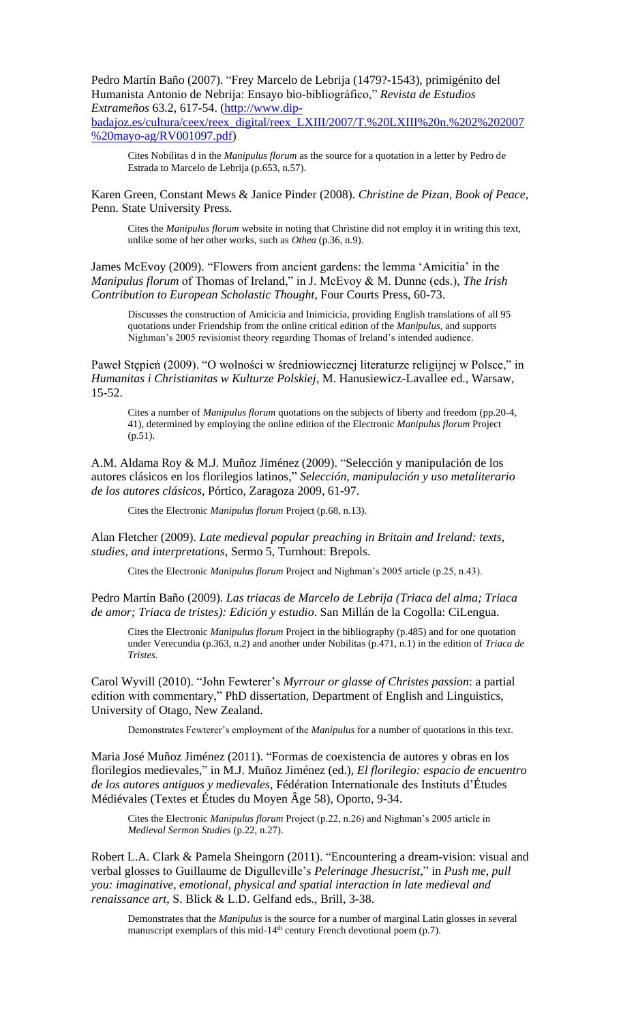Pedro Martín Baño (2007). "Frey Marcelo de Lebrija (1479?-1543), primigénito del Humanista Antonio de Nebrija: Ensayo bio-bibliográfico," *Revista de Estudios Extrameños* 63.2, 617-54. [\(http://www.dip-](http://www.dip-badajoz.es/cultura/ceex/reex_digital/reex_LXIII/2007/T.%20LXIII%20n.%202%202007%20mayo-ag/RV001097.pdf)

[badajoz.es/cultura/ceex/reex\\_digital/reex\\_LXIII/2007/T.%20LXIII%20n.%202%202007](http://www.dip-badajoz.es/cultura/ceex/reex_digital/reex_LXIII/2007/T.%20LXIII%20n.%202%202007%20mayo-ag/RV001097.pdf) [%20mayo-ag/RV001097.pdf\)](http://www.dip-badajoz.es/cultura/ceex/reex_digital/reex_LXIII/2007/T.%20LXIII%20n.%202%202007%20mayo-ag/RV001097.pdf)

Cites Nobilitas d in the *Manipulus florum* as the source for a quotation in a letter by Pedro de Estrada to Marcelo de Lebrija (p.653, n.57).

Karen Green, Constant Mews & Janice Pinder (2008). *Christine de Pizan, Book of Peace*, Penn. State University Press.

Cites the *Manipulus florum* website in noting that Christine did not employ it in writing this text, unlike some of her other works, such as *Othea* (p.36, n.9).

James McEvoy (2009). "Flowers from ancient gardens: the lemma 'Amicitia' in the *Manipulus florum* of Thomas of Ireland," in J. McEvoy & M. Dunne (eds.), *The Irish Contribution to European Scholastic Thought*, Four Courts Press, 60-73.

Discusses the construction of Amicicia and Inimicicia, providing English translations of all 95 quotations under Friendship from the online critical edition of the *Manipulus*, and supports Nighman's 2005 revisionist theory regarding Thomas of Ireland's intended audience.

Paweł Stępień (2009). "O wolności w średniowiecznej literaturze religijnej w Polsce," in *Humanitas i Christianitas w Kulturze Polskiej*, M. Hanusiewicz-Lavallee ed., Warsaw, 15-52.

Cites a number of *Manipulus florum* quotations on the subjects of liberty and freedom (pp.20-4, 41), determined by employing the online edition of the Electronic *Manipulus florum* Project (p.51).

A.M. Aldama Roy & M.J. Muñoz Jiménez (2009). "Selección y manipulación de los autores clásicos en los florilegios latinos," *Selección, manipulación y uso metaliterario de los autores clásicos*, Pórtico, Zaragoza 2009, 61-97.

Cites the Electronic *Manipulus florum* Project (p.68, n.13).

Alan Fletcher (2009). *Late medieval popular preaching in Britain and Ireland: texts, studies, and interpretations*, Sermo 5, Turnhout: Brepols.

Cites the Electronic *Manipulus florum* Project and Nighman's 2005 article (p.25, n.43).

Pedro Martín Baño (2009). *Las triacas de Marcelo de Lebrija (Triaca del alma; Triaca de amor; Triaca de tristes): Edición y estudio*. San Millán de la Cogolla: CiLengua.

Cites the Electronic *Manipulus florum* Project in the bibliography (p.485) and for one quotation under Verecundia (p.363, n.2) and another under Nobilitas (p.471, n.1) in the edition of *Triaca de Tristes*.

Carol Wyvill (2010). "John Fewterer's *Myrrour or glasse of Christes passion*: a partial edition with commentary," PhD dissertation, Department of English and Linguistics, University of Otago, New Zealand.

Demonstrates Fewterer's employment of the *Manipulus* for a number of quotations in this text.

Maria José Muñoz Jiménez (2011). "Formas de coexistencia de autores y obras en los florilegios medievales," in M.J. Muñoz Jiménez (ed.), *El florilegio: espacio de encuentro de los autores antiguos y medievales*, Fédération Internationale des Instituts d'Études Médiévales (Textes et Études du Moyen Âge 58), Oporto, 9-34.

Cites the Electronic *Manipulus florum* Project (p.22, n.26) and Nighman's 2005 article in *Medieval Sermon Studies* (p.22, n.27).

Robert L.A. Clark & Pamela Sheingorn (2011). "Encountering a dream-vision: visual and verbal glosses to Guillaume de Digulleville's *Pelerinage Jhesucrist*," in *Push me, pull you: imaginative, emotional, physical and spatial interaction in late medieval and renaissance art*, S. Blick & L.D. Gelfand eds., Brill, 3-38.

Demonstrates that the *Manipulus* is the source for a number of marginal Latin glosses in several manuscript exemplars of this mid-14<sup>th</sup> century French devotional poem  $(p.7)$ .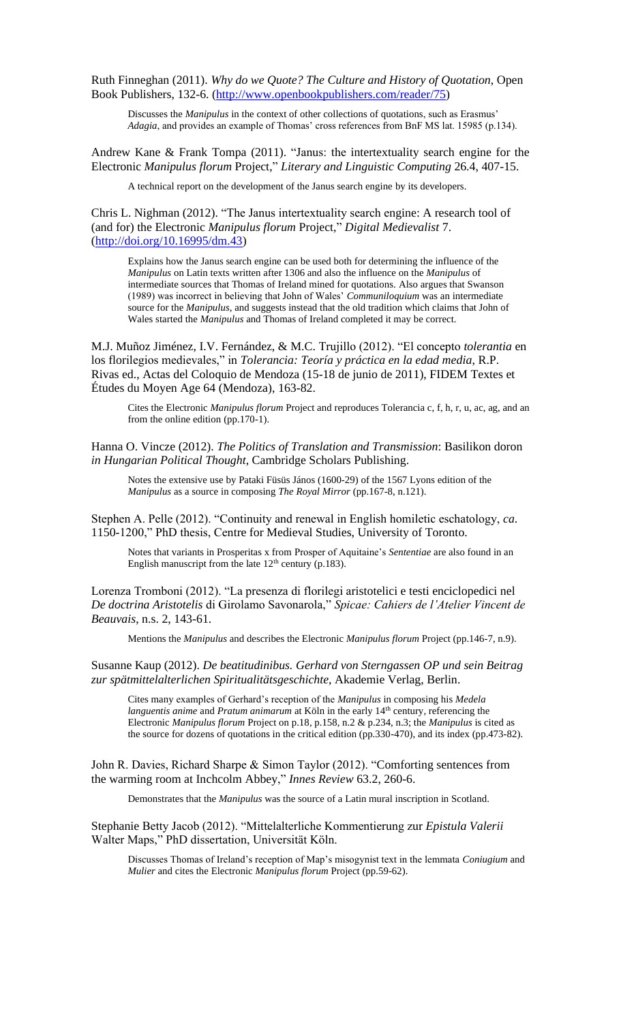Ruth Finneghan (2011). *Why do we Quote? The Culture and History of Quotation*, Open Book Publishers, 132-6. [\(http://www.openbookpublishers.com/reader/75\)](http://www.openbookpublishers.com/reader/75)

Discusses the *Manipulus* in the context of other collections of quotations, such as Erasmus' *Adagia*, and provides an example of Thomas' cross references from BnF MS lat. 15985 (p.134).

Andrew Kane & Frank Tompa (2011). "Janus: the intertextuality search engine for the Electronic *Manipulus florum* Project," *Literary and Linguistic Computing* 26.4, 407-15.

A technical report on the development of the Janus search engine by its developers.

Chris L. Nighman (2012). "The Janus intertextuality search engine: A research tool of (and for) the Electronic *Manipulus florum* Project," *Digital Medievalist* 7. [\(http://doi.org/10.16995/dm.43\)](http://doi.org/10.16995/dm.43)

Explains how the Janus search engine can be used both for determining the influence of the *Manipulus* on Latin texts written after 1306 and also the influence on the *Manipulus* of intermediate sources that Thomas of Ireland mined for quotations. Also argues that Swanson (1989) was incorrect in believing that John of Wales' *Communiloquium* was an intermediate source for the *Manipulus*, and suggests instead that the old tradition which claims that John of Wales started the *Manipulus* and Thomas of Ireland completed it may be correct.

M.J. Muñoz Jiménez, I.V. Fernández, & M.C. Trujillo (2012). "El concepto *tolerantia* en los florilegios medievales," in *Tolerancia: Teoría y práctica en la edad media*, R.P. Rivas ed., Actas del Coloquio de Mendoza (15-18 de junio de 2011), FIDEM Textes et Études du Moyen Age 64 (Mendoza), 163-82.

Cites the Electronic *Manipulus florum* Project and reproduces Tolerancia c, f, h, r, u, ac, ag, and an from the online edition (pp.170-1).

Hanna O. Vincze (2012). *The Politics of Translation and Transmission*: Basilikon doron *in Hungarian Political Thought*, Cambridge Scholars Publishing.

Notes the extensive use by Pataki Füsüs János (1600-29) of the 1567 Lyons edition of the *Manipulus* as a source in composing *The Royal Mirror* (pp.167-8, n.121).

Stephen A. Pelle (2012). "Continuity and renewal in English homiletic eschatology, *ca*. 1150-1200," PhD thesis, Centre for Medieval Studies, University of Toronto.

Notes that variants in Prosperitas x from Prosper of Aquitaine's *Sententiae* are also found in an English manuscript from the late  $12<sup>th</sup>$  century (p.183).

Lorenza Tromboni (2012). "La presenza di florilegi aristotelici e testi enciclopedici nel *De doctrina Aristotelis* di Girolamo Savonarola," *Spicae: Cahiers de l'Atelier Vincent de Beauvais*, n.s. 2, 143-61.

Mentions the *Manipulus* and describes the Electronic *Manipulus florum* Project (pp.146-7, n.9).

Susanne Kaup (2012). *De beatitudinibus. Gerhard von Sterngassen OP und sein Beitrag zur spätmittelalterlichen Spiritualitätsgeschichte*, Akademie Verlag, Berlin.

Cites many examples of Gerhard's reception of the *Manipulus* in composing his *Medela languentis anime* and *Pratum animarum* at Köln in the early 14<sup>th</sup> century, referencing the Electronic *Manipulus florum* Project on p.18, p.158, n.2 & p.234, n.3; the *Manipulus* is cited as the source for dozens of quotations in the critical edition (pp.330-470), and its index (pp.473-82).

John R. Davies, Richard Sharpe & Simon Taylor (2012). "Comforting sentences from the warming room at Inchcolm Abbey," *Innes Review* 63.2, 260-6.

Demonstrates that the *Manipulus* was the source of a Latin mural inscription in Scotland.

Stephanie Betty Jacob (2012). "Mittelalterliche Kommentierung zur *Epistula Valerii* Walter Maps," PhD dissertation, Universität Köln.

Discusses Thomas of Ireland's reception of Map's misogynist text in the lemmata *Coniugium* and *Mulier* and cites the Electronic *Manipulus florum* Project (pp.59-62).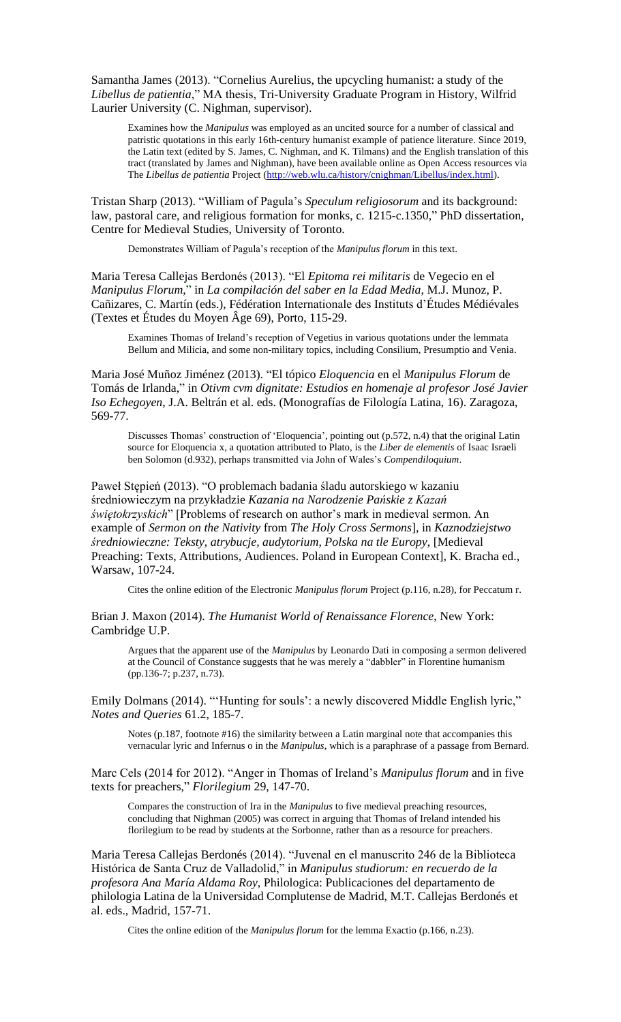Samantha James (2013). "Cornelius Aurelius, the upcycling humanist: a study of the *Libellus de patientia*," MA thesis, Tri-University Graduate Program in History, Wilfrid Laurier University (C. Nighman, supervisor).

Examines how the *Manipulus* was employed as an uncited source for a number of classical and patristic quotations in this early 16th-century humanist example of patience literature. Since 2019, the Latin text (edited by S. James, C. Nighman, and K. Tilmans) and the English translation of this tract (translated by James and Nighman), have been available online as Open Access resources via The *Libellus de patientia* Project [\(http://web.wlu.ca/history/cnighman/Libellus/index.html\)](http://web.wlu.ca/history/cnighman/Libellus/index.html).

Tristan Sharp (2013). "William of Pagula's *Speculum religiosorum* and its background: law, pastoral care, and religious formation for monks, c. 1215-c.1350," PhD dissertation, Centre for Medieval Studies, University of Toronto.

Demonstrates William of Pagula's reception of the *Manipulus florum* in this text.

Maria Teresa Callejas Berdonés (2013). "El *Epitoma rei militaris* de Vegecio en el *Manipulus Florum*," in *La compilación del saber en la Edad Media*, M.J. Munoz, P. Cañizares, C. Martín (eds.), Fédération Internationale des Instituts d'Études Médiévales (Textes et Études du Moyen Âge 69), Porto, 115-29.

Examines Thomas of Ireland's reception of Vegetius in various quotations under the lemmata Bellum and Milicia, and some non-military topics, including Consilium, Presumptio and Venia.

Maria José Muñoz Jiménez (2013). "El tópico *Eloquencia* en el *Manipulus Florum* de Tomás de Irlanda," in *Otivm cvm dignitate: Estudios en homenaje al profesor José Javier Iso Echegoyen*, J.A. Beltrán et al. eds. (Monografías de Filología Latina, 16). Zaragoza, 569-77.

Discusses Thomas' construction of 'Eloquencia', pointing out (p.572, n.4) that the original Latin source for Eloquencia x, a quotation attributed to Plato, is the *Liber de elementis* of Isaac Israeli ben Solomon (d.932), perhaps transmitted via John of Wales's *Compendiloquium*.

Paweł Stępień (2013). "O problemach badania śladu autorskiego w kazaniu średniowieczym na przykładzie *Kazania na Narodzenie Pańskie z Kazań świętokrzyskich*" [Problems of research on author's mark in medieval sermon. An example of *Sermon on the Nativity* from *The Holy Cross Sermons*], in *Kaznodziejstwo średniowieczne: Teksty, atrybucje, audytorium, Polska na tle Europy*, [Medieval Preaching: Texts, Attributions, Audiences. Poland in European Context], K. Bracha ed., Warsaw, 107-24.

Cites the online edition of the Electronic *Manipulus florum* Project (p.116, n.28), for Peccatum r.

Brian J. Maxon (2014). *The Humanist World of Renaissance Florence*, New York: Cambridge U.P.

Argues that the apparent use of the *Manipulus* by Leonardo Dati in composing a sermon delivered at the Council of Constance suggests that he was merely a "dabbler" in Florentine humanism (pp.136-7; p.237, n.73).

Emily Dolmans (2014). "'Hunting for souls': a newly discovered Middle English lyric," *Notes and Queries* 61.2, 185-7.

Notes (p.187, footnote #16) the similarity between a Latin marginal note that accompanies this vernacular lyric and Infernus o in the *Manipulus*, which is a paraphrase of a passage from Bernard.

Marc Cels (2014 for 2012). "Anger in Thomas of Ireland's *Manipulus florum* and in five texts for preachers," *Florilegium* 29, 147-70.

Compares the construction of Ira in the *Manipulus* to five medieval preaching resources, concluding that Nighman (2005) was correct in arguing that Thomas of Ireland intended his florilegium to be read by students at the Sorbonne, rather than as a resource for preachers.

Maria Teresa Callejas Berdonés (2014). "Juvenal en el manuscrito 246 de la Biblioteca Histórica de Santa Cruz de Valladolid," in *Manipulus studiorum: en recuerdo de la profesora Ana María Aldama Roy*, Philologica: Publicaciones del departamento de philologia Latina de la Universidad Complutense de Madrid, M.T. Callejas Berdonés et al. eds., Madrid, 157-71.

Cites the online edition of the *Manipulus florum* for the lemma Exactio (p.166, n.23).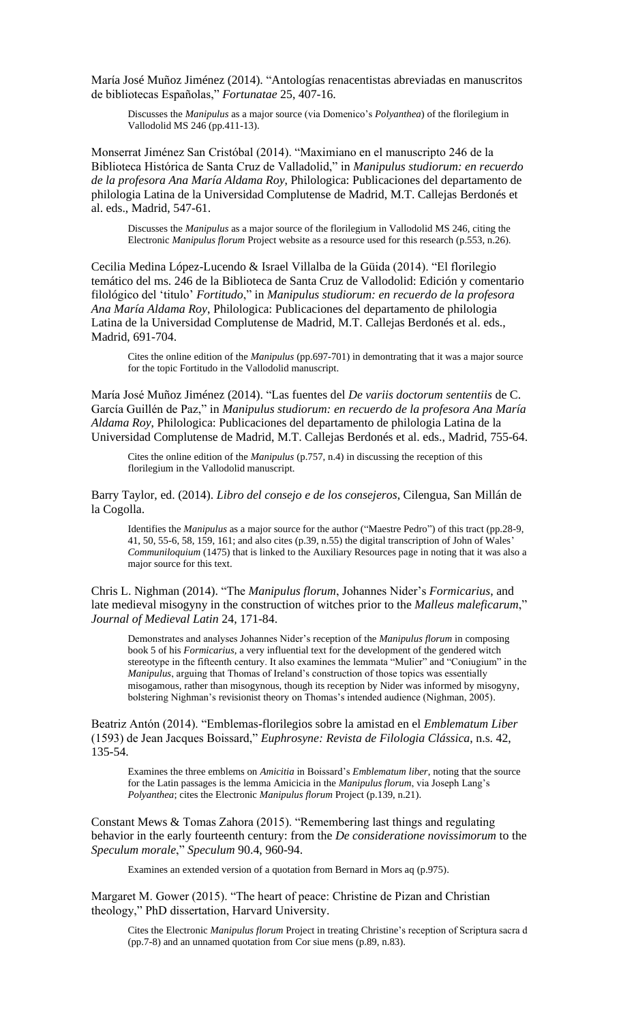Marίa José Muñoz Jiménez (2014). "Antologías renacentistas abreviadas en manuscritos de bibliotecas Españolas," *Fortunatae* 25, 407-16.

Discusses the *Manipulus* as a major source (via Domenico's *Polyanthea*) of the florilegium in Vallodolid MS 246 (pp.411-13).

Monserrat Jiménez San Cristóbal (2014). "Maximiano en el manuscripto 246 de la Biblioteca Histórica de Santa Cruz de Valladolid," in *Manipulus studiorum: en recuerdo de la profesora Ana María Aldama Roy*, Philologica: Publicaciones del departamento de philologia Latina de la Universidad Complutense de Madrid, M.T. Callejas Berdonés et al. eds., Madrid, 547-61.

Discusses the *Manipulus* as a major source of the florilegium in Vallodolid MS 246, citing the Electronic *Manipulus florum* Project website as a resource used for this research (p.553, n.26).

Cecilia Medina López-Lucendo & Israel Villalba de la Güida (2014). "El florilegio temático del ms. 246 de la Biblioteca de Santa Cruz de Vallodolid: Edición y comentario filológico del 'titulo' *Fortitudo*," in *Manipulus studiorum: en recuerdo de la profesora Ana María Aldama Roy*, Philologica: Publicaciones del departamento de philologia Latina de la Universidad Complutense de Madrid, M.T. Callejas Berdonés et al. eds., Madrid, 691-704.

Cites the online edition of the *Manipulus* (pp.697-701) in demontrating that it was a major source for the topic Fortitudo in the Vallodolid manuscript.

Marίa José Muñoz Jiménez (2014). "Las fuentes del *De variis doctorum sententiis* de C. Garcίa Guillén de Paz," in *Manipulus studiorum: en recuerdo de la profesora Ana María Aldama Roy*, Philologica: Publicaciones del departamento de philologia Latina de la Universidad Complutense de Madrid, M.T. Callejas Berdonés et al. eds., Madrid, 755-64.

Cites the online edition of the *Manipulus* (p.757, n.4) in discussing the reception of this florilegium in the Vallodolid manuscript.

Barry Taylor, ed. (2014). *Libro del consejo e de los consejeros*, Cilengua, San Millán de la Cogolla.

Identifies the *Manipulus* as a major source for the author ("Maestre Pedro") of this tract (pp.28-9, 41, 50, 55-6, 58, 159, 161; and also cites (p.39, n.55) the digital transcription of John of Wales' *Communiloquium* (1475) that is linked to the Auxiliary Resources page in noting that it was also a major source for this text.

Chris L. Nighman (2014). "The *Manipulus florum*, Johannes Nider's *Formicarius*, and late medieval misogyny in the construction of witches prior to the *Malleus maleficarum*," *Journal of Medieval Latin* 24, 171-84.

Demonstrates and analyses Johannes Nider's reception of the *Manipulus florum* in composing book 5 of his *Formicarius*, a very influential text for the development of the gendered witch stereotype in the fifteenth century. It also examines the lemmata "Mulier" and "Coniugium" in the *Manipulus*, arguing that Thomas of Ireland's construction of those topics was essentially misogamous, rather than misogynous, though its reception by Nider was informed by misogyny, bolstering Nighman's revisionist theory on Thomas's intended audience (Nighman, 2005).

Beatriz Antón (2014). "Emblemas-florilegios sobre la amistad en el *Emblematum Liber* (1593) de Jean Jacques Boissard," *Euphrosyne: Revista de Filologia Clássica*, n.s. 42, 135-54.

Examines the three emblems on *Amicitia* in Boissard's *Emblematum liber*, noting that the source for the Latin passages is the lemma Amicicia in the *Manipulus florum*, via Joseph Lang's *Polyanthea*; cites the Electronic *Manipulus florum* Project (p.139, n.21).

Constant Mews & Tomas Zahora (2015). "Remembering last things and regulating behavior in the early fourteenth century: from the *De consideratione novissimorum* to the *Speculum morale*," *Speculum* 90.4, 960-94.

Examines an extended version of a quotation from Bernard in Mors aq (p.975).

Margaret M. Gower (2015). "The heart of peace: Christine de Pizan and Christian theology," PhD dissertation, Harvard University.

Cites the Electronic *Manipulus florum* Project in treating Christine's reception of Scriptura sacra d (pp.7-8) and an unnamed quotation from Cor siue mens (p.89, n.83).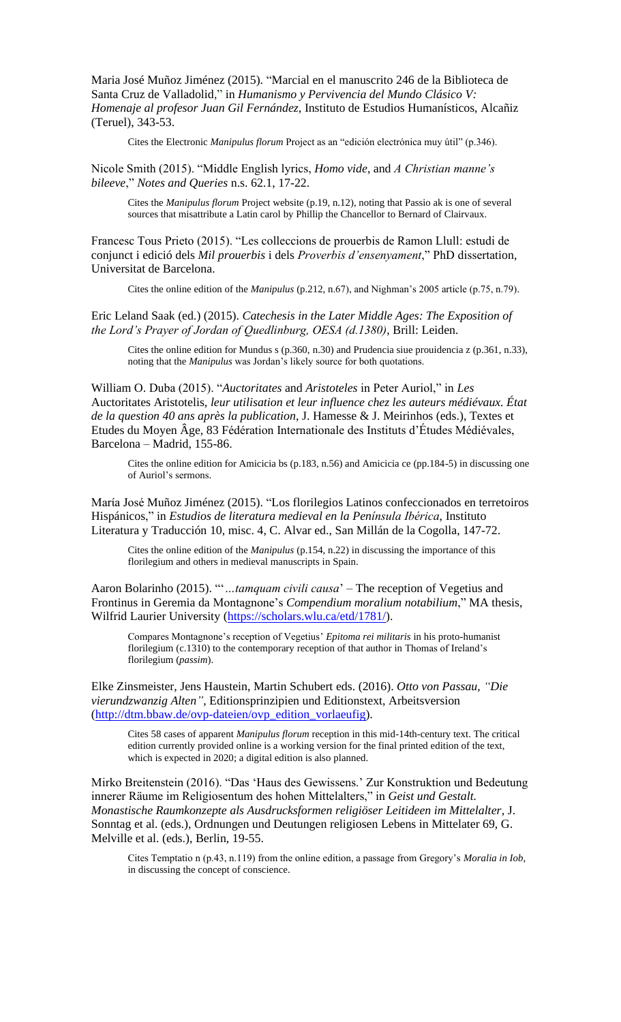Maria José Muñoz Jiménez (2015). "Marcial en el manuscrito 246 de la Biblioteca de Santa Cruz de Valladolid," in *Humanismo y Pervivencia del Mundo Clásico V: Homenaje al profesor Juan Gil Fernández*, Instituto de Estudios Humanísticos, Alcañiz (Teruel), 343-53.

Cites the Electronic *Manipulus florum* Project as an "edición electrónica muy útil" (p.346).

Nicole Smith (2015). "Middle English lyrics, *Homo vide*, and *A Christian manne's bileeve*," *Notes and Queries* n.s. 62.1, 17-22.

Cites the *Manipulus florum* Project website (p.19, n.12), noting that Passio ak is one of several sources that misattribute a Latin carol by Phillip the Chancellor to Bernard of Clairvaux.

Francesc Tous Prieto (2015). "Les colleccions de prouerbis de Ramon Llull: estudi de conjunct i edició dels *Mil prouerbis* i dels *Proverbis d'ensenyament*," PhD dissertation, Universitat de Barcelona.

Cites the online edition of the *Manipulus* (p.212, n.67), and Nighman's 2005 article (p.75, n.79).

Eric Leland Saak (ed.) (2015). *Catechesis in the Later Middle Ages: The Exposition of the Lord's Prayer of Jordan of Quedlinburg, OESA (d.1380)*, Brill: Leiden.

Cites the online edition for Mundus s (p.360, n.30) and Prudencia siue prouidencia z (p.361, n.33), noting that the *Manipulus* was Jordan's likely source for both quotations.

William O. Duba (2015). "*Auctoritates* and *Aristoteles* in Peter Auriol," in *Les* Auctoritates Aristotelis, *leur utilisation et leur influence chez les auteurs médiévaux. État de la question 40 ans après la publication*, J. Hamesse & J. Meirinhos (eds.), Textes et Etudes du Moyen Âge, 83 Fédération Internationale des Instituts d'Études Médiévales, Barcelona – Madrid, 155-86.

Cites the online edition for Amicicia bs (p.183, n.56) and Amicicia ce (pp.184-5) in discussing one of Auriol's sermons.

Marίa José Muñoz Jiménez (2015). "Los florilegios Latinos confeccionados en terretoiros Hispánicos," in *Estudios de literatura medieval en la Penίnsula Ibérica*, Instituto Literatura y Traducción 10, misc. 4, C. Alvar ed., San Millán de la Cogolla, 147-72.

Cites the online edition of the *Manipulus* (p.154, n.22) in discussing the importance of this florilegium and others in medieval manuscripts in Spain.

Aaron Bolarinho (2015). "'*…tamquam civili causa*' – The reception of Vegetius and Frontinus in Geremia da Montagnone's *Compendium moralium notabilium*," MA thesis, Wilfrid Laurier University [\(https://scholars.wlu.ca/etd/1781/\)](https://scholars.wlu.ca/etd/1781/).

Compares Montagnone's reception of Vegetius' *Epitoma rei militaris* in his proto-humanist florilegium (c.1310) to the contemporary reception of that author in Thomas of Ireland's florilegium (*passim*).

Elke Zinsmeister, Jens Haustein, Martin Schubert eds. (2016). *Otto von Passau, "Die vierundzwanzig Alten"*, Editionsprinzipien und Editionstext, Arbeitsversion [\(http://dtm.bbaw.de/ovp-dateien/ovp\\_edition\\_vorlaeufig\)](http://dtm.bbaw.de/ovp-dateien/ovp_edition_vorlaeufig).

Cites 58 cases of apparent *Manipulus florum* reception in this mid-14th-century text. The critical edition currently provided online is a working version for the final printed edition of the text, which is expected in 2020; a digital edition is also planned.

Mirko Breitenstein (2016). "Das 'Haus des Gewissens.' Zur Konstruktion und Bedeutung innerer Räume im Religiosentum des hohen Mittelalters," in *Geist und Gestalt. Monastische Raumkonzepte als Ausdrucksformen religiöser Leitideen im Mittelalter*, J. Sonntag et al. (eds.), Ordnungen und Deutungen religiosen Lebens in Mittelater 69, G. Melville et al. (eds.), Berlin, 19-55.

Cites Temptatio n (p.43, n.119) from the online edition, a passage from Gregory's *Moralia in Iob*, in discussing the concept of conscience.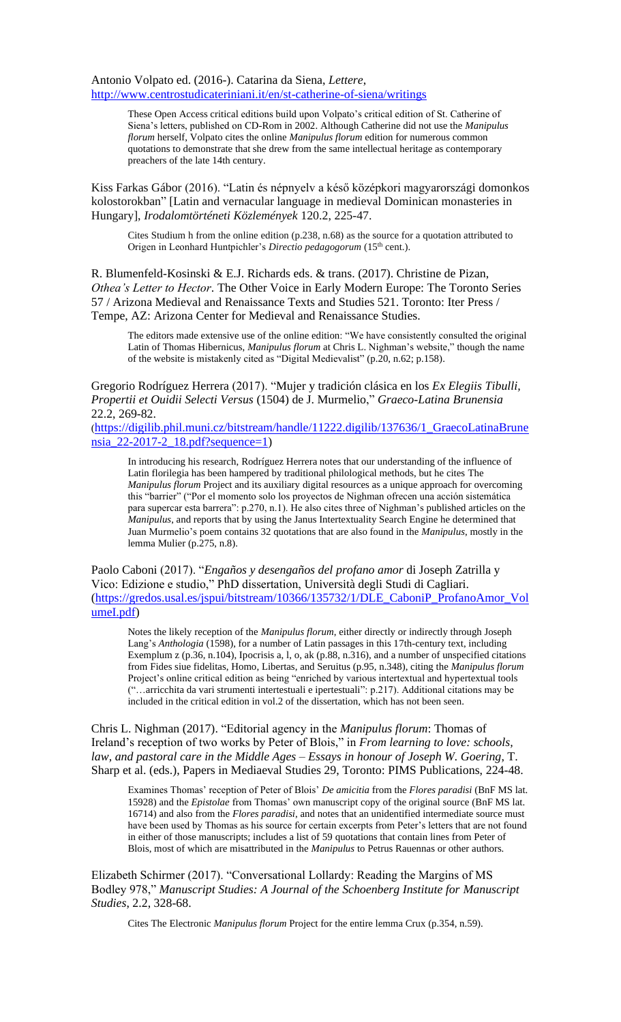Antonio Volpato ed. (2016-). Catarina da Siena, *Lettere*, <http://www.centrostudicateriniani.it/en/st-catherine-of-siena/writings>

> These Open Access critical editions build upon Volpato's critical edition of St. Catherine of Siena's letters, published on CD-Rom in 2002. Although Catherine did not use the *Manipulus florum* herself, Volpato cites the online *Manipulus florum* edition for numerous common quotations to demonstrate that she drew from the same intellectual heritage as contemporary preachers of the late 14th century.

Kiss Farkas Gábor (2016). "Latin és népnyelv a késő középkori magyarországi domonkos kolostorokban" [Latin and vernacular language in medieval Dominican monasteries in Hungary], *Irodalomtörténeti Közlemények* 120.2, 225-47.

Cites Studium h from the online edition (p.238, n.68) as the source for a quotation attributed to Origen in Leonhard Huntpichler's *Directio pedagogorum* (15th cent.).

R. Blumenfeld-Kosinski & E.J. Richards eds. & trans. (2017). Christine de Pizan, *Othea's Letter to Hector*. The Other Voice in Early Modern Europe: The Toronto Series 57 / Arizona Medieval and Renaissance Texts and Studies 521. Toronto: Iter Press / Tempe, AZ: Arizona Center for Medieval and Renaissance Studies.

The editors made extensive use of the online edition: "We have consistently consulted the original Latin of Thomas Hibernicus, *Manipulus florum* at Chris L. Nighman's website," though the name of the website is mistakenly cited as "Digital Medievalist" (p.20, n.62; p.158).

Gregorio Rodríguez Herrera (2017). "Mujer y tradición clásica en los *Ex Elegiis Tibulli, Propertii et Ouidii Selecti Versus* (1504) de J. Murmelio," *Graeco-Latina Brunensia* 22.2, 269-82.

([https://digilib.phil.muni.cz/bitstream/handle/11222.digilib/137636/1\\_GraecoLatinaBrune](https://digilib.phil.muni.cz/bitstream/handle/11222.digilib/137636/1_GraecoLatinaBrunensia_22-2017-2_18.pdf?sequence=1) [nsia\\_22-2017-2\\_18.pdf?sequence=1\)](https://digilib.phil.muni.cz/bitstream/handle/11222.digilib/137636/1_GraecoLatinaBrunensia_22-2017-2_18.pdf?sequence=1)

In introducing his research, Rodríguez Herrera notes that our understanding of the influence of Latin florilegia has been hampered by traditional philological methods, but he cites The *Manipulus florum* Project and its auxiliary digital resources as a unique approach for overcoming this "barrier" ("Por el momento solo los proyectos de Nighman ofrecen una acción sistemática para supercar esta barrera": p.270, n.1). He also cites three of Nighman's published articles on the *Manipulus*, and reports that by using the Janus Intertextuality Search Engine he determined that Juan Murmelio's poem contains 32 quotations that are also found in the *Manipulus*, mostly in the lemma Mulier (p.275, n.8).

Paolo Caboni (2017). "*Engaños y desengaños del profano amor* di Joseph Zatrilla y Vico: Edizione e studio," PhD dissertation, Università degli Studi di Cagliari. [\(https://gredos.usal.es/jspui/bitstream/10366/135732/1/DLE\\_CaboniP\\_ProfanoAmor\\_Vol](https://gredos.usal.es/jspui/bitstream/10366/135732/1/DLE_CaboniP_ProfanoAmor_VolumeI.pdf) [umeI.pdf\)](https://gredos.usal.es/jspui/bitstream/10366/135732/1/DLE_CaboniP_ProfanoAmor_VolumeI.pdf)

Notes the likely reception of the *Manipulus florum*, either directly or indirectly through Joseph Lang's *Anthologia* (1598), for a number of Latin passages in this 17th-century text, including Exemplum z (p.36, n.104), Ipocrisis a, l, o, ak (p.88, n.316), and a number of unspecified citations from Fides siue fidelitas, Homo, Libertas, and Seruitus (p.95, n.348), citing the *Manipulus florum* Project's online critical edition as being "enriched by various intertextual and hypertextual tools ("…arricchita da vari strumenti intertestuali e ipertestuali": p.217). Additional citations may be included in the critical edition in vol.2 of the dissertation, which has not been seen.

Chris L. Nighman (2017). "Editorial agency in the *Manipulus florum*: Thomas of Ireland's reception of two works by Peter of Blois," in *From learning to love: schools, law, and pastoral care in the Middle Ages – Essays in honour of Joseph W. Goering*, T. Sharp et al. (eds.), Papers in Mediaeval Studies 29, Toronto: PIMS Publications, 224-48.

Examines Thomas' reception of Peter of Blois' *De amicitia* from the *Flores paradisi* (BnF MS lat. 15928) and the *Epistolae* from Thomas' own manuscript copy of the original source (BnF MS lat. 16714) and also from the *Flores paradisi*, and notes that an unidentified intermediate source must have been used by Thomas as his source for certain excerpts from Peter's letters that are not found in either of those manuscripts; includes a list of 59 quotations that contain lines from Peter of Blois, most of which are misattributed in the *Manipulus* to Petrus Rauennas or other authors.

Elizabeth Schirmer (2017). "Conversational Lollardy: Reading the Margins of MS Bodley 978," *Manuscript Studies: A Journal of the Schoenberg Institute for Manuscript Studies*, 2.2, 328-68.

Cites The Electronic *Manipulus florum* Project for the entire lemma Crux (p.354, n.59).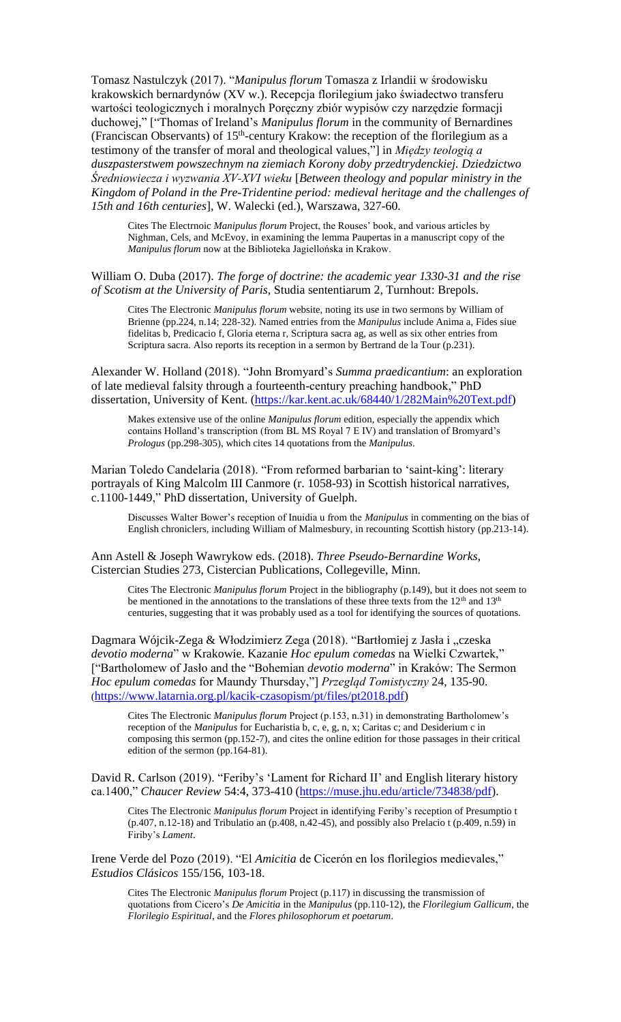Tomasz Nastulczyk (2017). "*Manipulus florum* Tomasza z Irlandii w środowisku krakowskich bernardynów (XV w.). Recepcja florilegium jako świadectwo transferu wartości teologicznych i moralnych Poręczny zbiór wypisów czy narzędzie formacji duchowej," ["Thomas of Ireland's *Manipulus florum* in the community of Bernardines (Franciscan Observants) of  $15<sup>th</sup>$ -century Krakow: the reception of the florilegium as a testimony of the transfer of moral and theological values,"] in *Między teologią a duszpasterstwem powszechnym na ziemiach Korony doby przedtrydenckiej. Dziedzictwo Średniowiecza i wyzwania XV‑XVI wieku* [*Between theology and popular ministry in the Kingdom of Poland in the Pre-Tridentine period: medieval heritage and the challenges of 15th and 16th centuries*], W. Walecki (ed.), Warszawa, 327-60.

Cites The Electrnoic *Manipulus florum* Project, the Rouses' book, and various articles by Nighman, Cels, and McEvoy, in examining the lemma Paupertas in a manuscript copy of the *Manipulus florum* now at the Biblioteka Jagiellońska in Krakow.

William O. Duba (2017). *The forge of doctrine: the academic year 1330-31 and the rise of Scotism at the University of Paris*, Studia sententiarum 2, Turnhout: Brepols.

Cites The Electronic *Manipulus florum* website, noting its use in two sermons by William of Brienne (pp.224, n.14; 228-32). Named entries from the *Manipulus* include Anima a, Fides siue fidelitas b, Predicacio f, Gloria eterna r, Scriptura sacra ag, as well as six other entries from Scriptura sacra. Also reports its reception in a sermon by Bertrand de la Tour (p.231).

Alexander W. Holland (2018). "John Bromyard's *Summa praedicantium*: an exploration of late medieval falsity through a fourteenth-century preaching handbook," PhD dissertation, University of Kent. [\(https://kar.kent.ac.uk/68440/1/282Main%20Text.pdf\)](https://kar.kent.ac.uk/68440/1/282Main%20Text.pdf)

Makes extensive use of the online *Manipulus florum* edition, especially the appendix which contains Holland's transcription (from BL MS Royal 7 E IV) and translation of Bromyard's *Prologus* (pp.298-305), which cites 14 quotations from the *Manipulus*.

Marian Toledo Candelaria (2018). "From reformed barbarian to 'saint-king': literary portrayals of King Malcolm III Canmore (r. 1058-93) in Scottish historical narratives, c.1100-1449," PhD dissertation, University of Guelph.

Discusses Walter Bower's reception of Inuidia u from the *Manipulus* in commenting on the bias of English chroniclers, including William of Malmesbury, in recounting Scottish history (pp.213-14).

Ann Astell & Joseph Wawrykow eds. (2018). *Three Pseudo-Bernardine Works*, Cistercian Studies 273, Cistercian Publications, Collegeville, Minn.

Cites The Electronic *Manipulus florum* Project in the bibliography (p.149), but it does not seem to be mentioned in the annotations to the translations of these three texts from the 12<sup>th</sup> and 13<sup>th</sup> centuries, suggesting that it was probably used as a tool for identifying the sources of quotations.

Dagmara Wójcik-Zega & Włodzimierz Zega (2018). "Bartłomiej z Jasła i "czeska *devotio moderna*" w Krakowie. Kazanie *Hoc epulum comedas* na Wielki Czwartek," ["Bartholomew of Jasło and the "Bohemian *devotio moderna*" in Kraków: The Sermon *Hoc epulum comedas* for Maundy Thursday,"] *Przegląd Tomistyczny* 24, 135-90. ([https://www.latarnia.org.pl/kacik-czasopism/pt/files/pt2018.pdf\)](https://www.latarnia.org.pl/kacik-czasopism/pt/files/pt2018.pdf)

Cites The Electronic *Manipulus florum* Project (p.153, n.31) in demonstrating Bartholomew's reception of the *Manipulus* for Eucharistia b, c, e, g, n, x; Caritas c; and Desiderium c in composing this sermon (pp.152-7), and cites the online edition for those passages in their critical edition of the sermon (pp.164-81).

David R. Carlson (2019). "Feriby's 'Lament for Richard II' and English literary history ca.1400," *Chaucer Review* 54:4, 373-410 [\(https://muse.jhu.edu/article/734838/pdf\)](https://muse.jhu.edu/article/734838/pdf).

Cites The Electronic *Manipulus florum* Project in identifying Feriby's reception of Presumptio t (p.407, n.12-18) and Tribulatio an (p.408, n.42-45), and possibly also Prelacio t (p.409, n.59) in Firiby's *Lament*.

Irene Verde del Pozo (2019). "El *Amicitia* de Cicerón en los florilegios medievales," *Estudios Clásicos* 155/156, 103-18.

Cites The Electronic *Manipulus florum* Project (p.117) in discussing the transmission of quotations from Cicero's *De Amicitia* in the *Manipulus* (pp.110-12), the *Florilegium Gallicum*, the *Florilegio Espiritual*, and the *Flores philosophorum et poetarum*.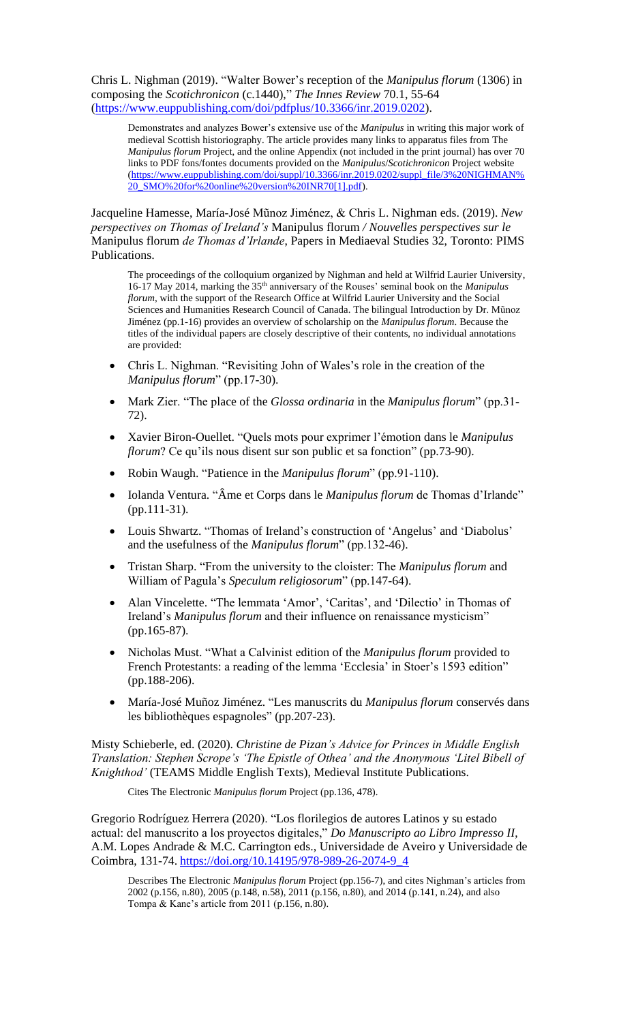Chris L. Nighman (2019). "Walter Bower's reception of the *Manipulus florum* (1306) in composing the *Scotichronicon* (c.1440)," *The Innes Review* 70.1, 55-64 [\(https://www.euppublishing.com/doi/pdfplus/10.3366/inr.2019.0202\)](https://www.euppublishing.com/doi/pdfplus/10.3366/inr.2019.0202).

Demonstrates and analyzes Bower's extensive use of the *Manipulus* in writing this major work of medieval Scottish historiography. The article provides many links to apparatus files from The *Manipulus florum* Project, and the online Appendix (not included in the print journal) has over 70 links to PDF fons/fontes documents provided on the *Manipulus*/*Scotichronicon* Project website [\(https://www.euppublishing.com/doi/suppl/10.3366/inr.2019.0202/suppl\\_file/3%20NIGHMAN%](https://www.euppublishing.com/doi/suppl/10.3366/inr.2019.0202/suppl_file/3%20NIGHMAN%20_SMO%20for%20online%20version%20INR70%5b1%5d.pdf) [20\\_SMO%20for%20online%20version%20INR70\[1\].pdf\)](https://www.euppublishing.com/doi/suppl/10.3366/inr.2019.0202/suppl_file/3%20NIGHMAN%20_SMO%20for%20online%20version%20INR70%5b1%5d.pdf).

Jacqueline Hamesse, María-José Mũnoz Jiménez, & Chris L. Nighman eds. (2019). *New perspectives on Thomas of Ireland's* Manipulus florum */ Nouvelles perspectives sur le* Manipulus florum *de Thomas d'Irlande*, Papers in Mediaeval Studies 32, Toronto: PIMS Publications.

The proceedings of the colloquium organized by Nighman and held at Wilfrid Laurier University, 16-17 May 2014, marking the 35th anniversary of the Rouses' seminal book on the *Manipulus florum*, with the support of the Research Office at Wilfrid Laurier University and the Social Sciences and Humanities Research Council of Canada. The bilingual Introduction by Dr. Mũnoz Jiménez (pp.1-16) provides an overview of scholarship on the *Manipulus florum*. Because the titles of the individual papers are closely descriptive of their contents, no individual annotations are provided:

- Chris L. Nighman. "Revisiting John of Wales's role in the creation of the *Manipulus florum*" (pp.17-30).
- Mark Zier. "The place of the *Glossa ordinaria* in the *Manipulus florum*" (pp.31- 72).
- Xavier Biron-Ouellet. "Quels mots pour exprimer l'émotion dans le *Manipulus florum*? Ce qu'ils nous disent sur son public et sa fonction" (pp.73-90).
- Robin Waugh. "Patience in the *Manipulus florum*" (pp.91-110).
- Iolanda Ventura. "Âme et Corps dans le *Manipulus florum* de Thomas d'Irlande" (pp.111-31).
- Louis Shwartz. "Thomas of Ireland's construction of 'Angelus' and 'Diabolus' and the usefulness of the *Manipulus florum*" (pp.132-46).
- Tristan Sharp. "From the university to the cloister: The *Manipulus florum* and William of Pagula's *Speculum religiosorum*" (pp.147-64).
- Alan Vincelette. "The lemmata 'Amor', 'Caritas', and 'Dilectio' in Thomas of Ireland's *Manipulus florum* and their influence on renaissance mysticism" (pp.165-87).
- Nicholas Must. "What a Calvinist edition of the *Manipulus florum* provided to French Protestants: a reading of the lemma 'Ecclesia' in Stoer's 1593 edition" (pp.188-206).
- María-José Muñoz Jiménez. "Les manuscrits du *Manipulus florum* conservés dans les bibliothèques espagnoles" (pp.207-23).

Misty Schieberle, ed. (2020). *Christine de Pizan's Advice for Princes in Middle English Translation: Stephen Scrope's 'The Epistle of Othea' and the Anonymous 'Litel Bibell of Knighthod'* (TEAMS Middle English Texts), Medieval Institute Publications.

Cites The Electronic *Manipulus florum* Project (pp.136, 478).

Gregorio Rodríguez Herrera (2020). "Los florilegios de autores Latinos y su estado actual: del manuscrito a los proyectos digitales," *Do Manuscripto ao Libro Impresso II*, A.M. Lopes Andrade & M.C. Carrington eds., Universidade de Aveiro y Universidade de Coimbra, 131-74. [https://doi.org/10.14195/978-989-26-2074-9\\_4](https://doi.org/10.14195/978-989-26-2074-9_4)

Describes The Electronic *Manipulus florum* Project (pp.156-7), and cites Nighman's articles from 2002 (p.156, n.80), 2005 (p.148, n.58), 2011 (p.156, n.80), and 2014 (p.141, n.24), and also Tompa & Kane's article from 2011 (p.156, n.80).